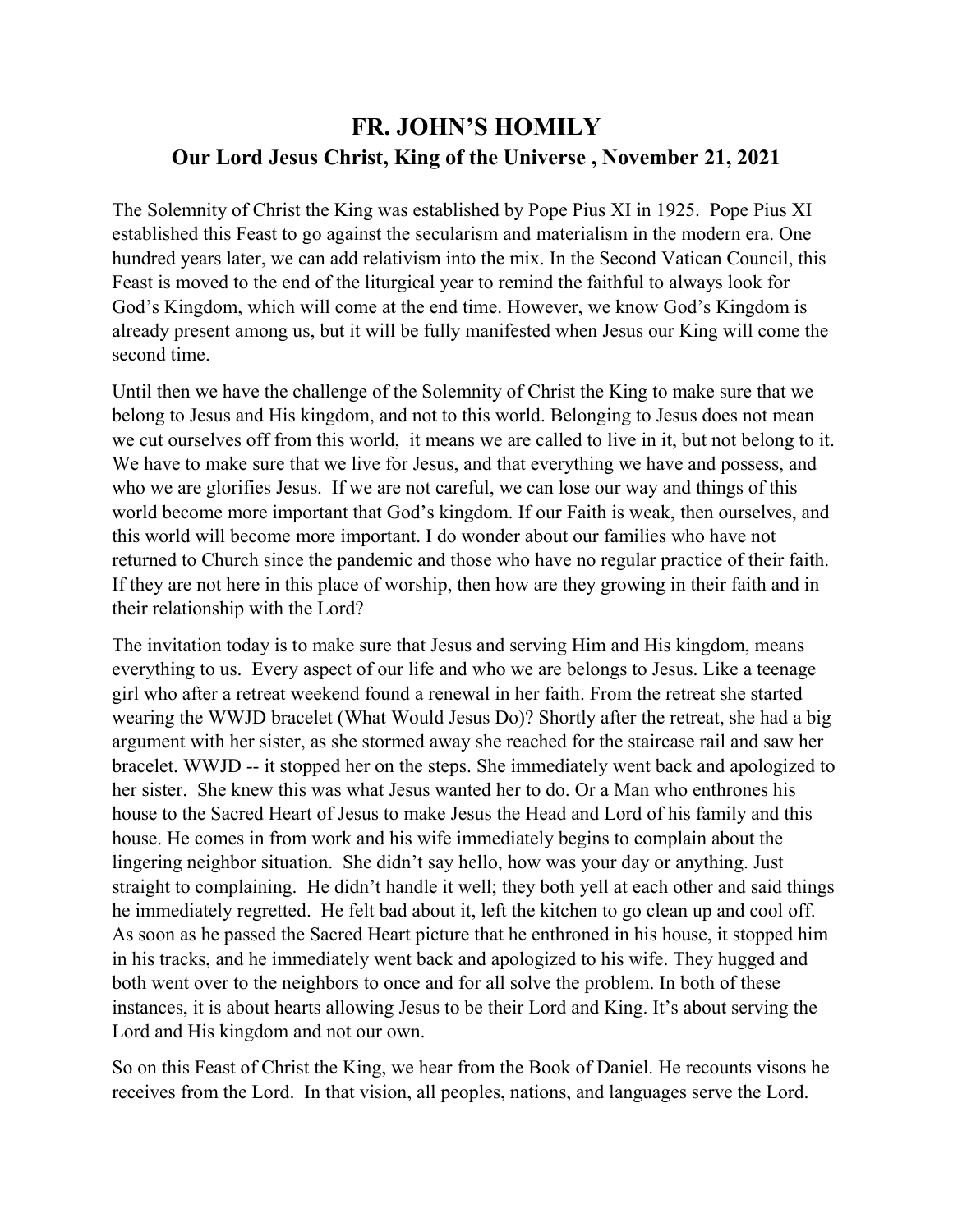## **FR. JOHN'S HOMILY Our Lord Jesus Christ, King of the Universe , November 21, 2021**

The Solemnity of Christ the King was established by Pope Pius XI in 1925. Pope Pius XI established this Feast to go against the secularism and materialism in the modern era. One hundred years later, we can add relativism into the mix. In the Second Vatican Council, this Feast is moved to the end of the liturgical year to remind the faithful to always look for God's Kingdom, which will come at the end time. However, we know God's Kingdom is already present among us, but it will be fully manifested when Jesus our King will come the second time.

Until then we have the challenge of the Solemnity of Christ the King to make sure that we belong to Jesus and His kingdom, and not to this world. Belonging to Jesus does not mean we cut ourselves off from this world, it means we are called to live in it, but not belong to it. We have to make sure that we live for Jesus, and that everything we have and possess, and who we are glorifies Jesus. If we are not careful, we can lose our way and things of this world become more important that God's kingdom. If our Faith is weak, then ourselves, and this world will become more important. I do wonder about our families who have not returned to Church since the pandemic and those who have no regular practice of their faith. If they are not here in this place of worship, then how are they growing in their faith and in their relationship with the Lord?

The invitation today is to make sure that Jesus and serving Him and His kingdom, means everything to us. Every aspect of our life and who we are belongs to Jesus. Like a teenage girl who after a retreat weekend found a renewal in her faith. From the retreat she started wearing the WWJD bracelet (What Would Jesus Do)? Shortly after the retreat, she had a big argument with her sister, as she stormed away she reached for the staircase rail and saw her bracelet. WWJD -- it stopped her on the steps. She immediately went back and apologized to her sister. She knew this was what Jesus wanted her to do. Or a Man who enthrones his house to the Sacred Heart of Jesus to make Jesus the Head and Lord of his family and this house. He comes in from work and his wife immediately begins to complain about the lingering neighbor situation. She didn't say hello, how was your day or anything. Just straight to complaining. He didn't handle it well; they both yell at each other and said things he immediately regretted. He felt bad about it, left the kitchen to go clean up and cool off. As soon as he passed the Sacred Heart picture that he enthroned in his house, it stopped him in his tracks, and he immediately went back and apologized to his wife. They hugged and both went over to the neighbors to once and for all solve the problem. In both of these instances, it is about hearts allowing Jesus to be their Lord and King. It's about serving the Lord and His kingdom and not our own.

So on this Feast of Christ the King, we hear from the Book of Daniel. He recounts visons he receives from the Lord. In that vision, all peoples, nations, and languages serve the Lord.